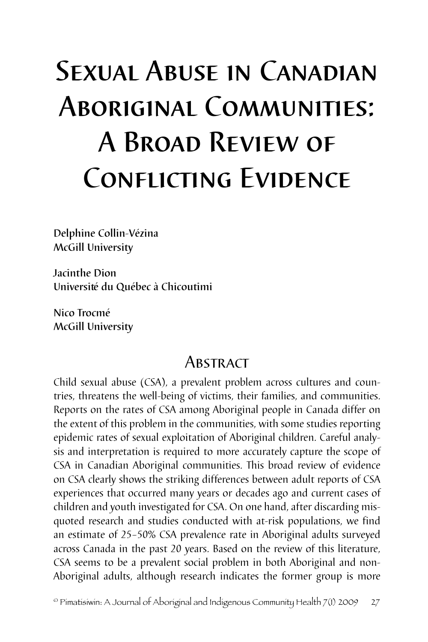# SEXUAL ABUSE IN CANADIAN Aboriginal Communities: A Broad Review of CONFLICTING EVIDENCE

Delphine Collin-Vézina McGill University

Jacinthe Dion Université du Québec à Chicoutimi

Nico Trocmé McGill University

# **ABSTRACT**

Child sexual abuse (CSA), a prevalent problem across cultures and countries, threatens the well-being of victims, their families, and communities. Reports on the rates of CSA among Aboriginal people in Canada differ on the extent of this problem in the communities, with some studies reporting epidemic rates of sexual exploitation of Aboriginal children. Careful analysis and interpretation is required to more accurately capture the scope of CSA in Canadian Aboriginal communities. This broad review of evidence on CSA clearly shows the striking differences between adult reports of CSA experiences that occurred many years or decades ago and current cases of children and youth investigated for CSA. On one hand, after discarding misquoted research and studies conducted with at-risk populations, we find an estimate of 25–50% CSA prevalence rate in Aboriginal adults surveyed across Canada in the past 20 years. Based on the review of this literature, CSA seems to be a prevalent social problem in both Aboriginal and non-Aboriginal adults, although research indicates the former group is more

 $^\circ$  Pimatisiwin: A Journal of Aboriginal and Indigenous Community Health 7(1) 2009  $\,$  27  $\,$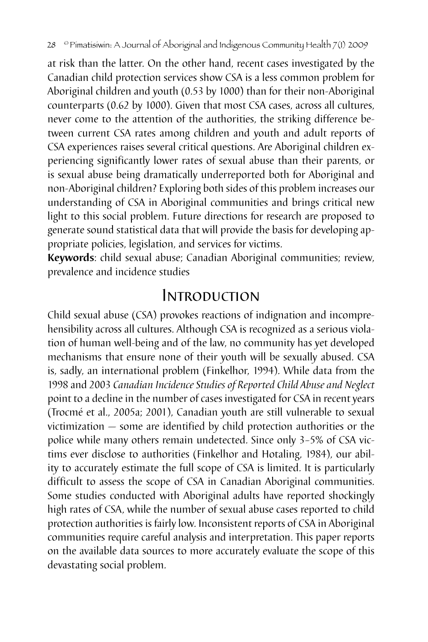at risk than the latter. On the other hand, recent cases investigated by the Canadian child protection services show CSA is a less common problem for Aboriginal children and youth (0.53 by 1000) than for their non-Aboriginal counterparts (0.62 by 1000). Given that most CSA cases, across all cultures, never come to the attention of the authorities, the striking difference between current CSA rates among children and youth and adult reports of CSA experiences raises several critical questions. Are Aboriginal children experiencing significantly lower rates of sexual abuse than their parents, or is sexual abuse being dramatically underreported both for Aboriginal and non-Aboriginal children? Exploring both sides of this problem increases our understanding of CSA in Aboriginal communities and brings critical new light to this social problem. Future directions for research are proposed to generate sound statistical data that will provide the basis for developing appropriate policies, legislation, and services for victims.

**Keywords**: child sexual abuse; Canadian Aboriginal communities; review, prevalence and incidence studies

# Introduction

Child sexual abuse (CSA) provokes reactions of indignation and incomprehensibility across all cultures. Although CSA is recognized as a serious violation of human well-being and of the law, no community has yet developed mechanisms that ensure none of their youth will be sexually abused. CSA is, sadly, an international problem (Finkelhor, 1994). While data from the 1998 and 2003 *Canadian Incidence Studies of Reported Child Abuse and Neglect* point to a decline in the number of cases investigated for CSA in recent years (Trocmé et al., 2005a; 2001), Canadian youth are still vulnerable to sexual victimization — some are identified by child protection authorities or the police while many others remain undetected. Since only 3–5% of CSA victims ever disclose to authorities (Finkelhor and Hotaling, 1984), our ability to accurately estimate the full scope of CSA is limited. It is particularly difficult to assess the scope of CSA in Canadian Aboriginal communities. Some studies conducted with Aboriginal adults have reported shockingly high rates of CSA, while the number of sexual abuse cases reported to child protection authorities is fairly low. Inconsistent reports of CSA in Aboriginal communities require careful analysis and interpretation. This paper reports on the available data sources to more accurately evaluate the scope of this devastating social problem.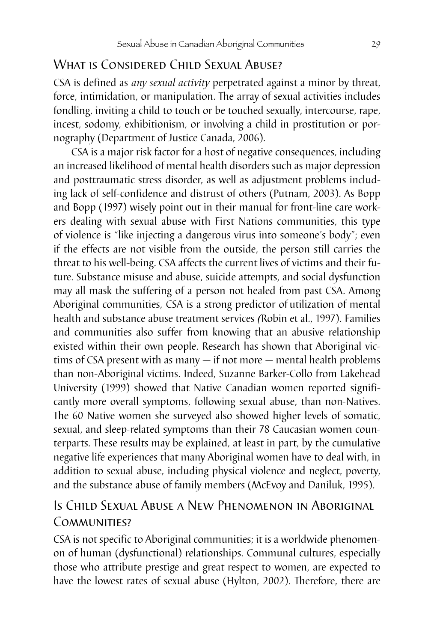## WHAT IS CONSIDERED CHILD SEXUAL ABUSE?

CSA is defined as *any sexual activity* perpetrated against a minor by threat, force, intimidation, or manipulation. The array of sexual activities includes fondling, inviting a child to touch or be touched sexually, intercourse, rape, incest, sodomy, exhibitionism, or involving a child in prostitution or pornography (Department of Justice Canada, 2006).

CSA is a major risk factor for a host of negative consequences, including an increased likelihood of mental health disorders such as major depression and posttraumatic stress disorder, as well as adjustment problems including lack of self-confidence and distrust of others (Putnam, 2003). As Bopp and Bopp (1997) wisely point out in their manual for front-line care workers dealing with sexual abuse with First Nations communities, this type of violence is "like injecting a dangerous virus into someone's body"; even if the effects are not visible from the outside, the person still carries the threat to his well-being. CSA affects the current lives of victims and their future. Substance misuse and abuse, suicide attempts, and social dysfunction may all mask the suffering of a person not healed from past CSA. Among Aboriginal communities, CSA is a strong predictor of utilization of mental health and substance abuse treatment services *(*Robin et al., 1997). Families and communities also suffer from knowing that an abusive relationship existed within their own people. Research has shown that Aboriginal victims of CSA present with as many — if not more — mental health problems than non-Aboriginal victims. Indeed, Suzanne Barker-Collo from Lakehead University (1999) showed that Native Canadian women reported significantly more overall symptoms, following sexual abuse, than non-Natives. The 60 Native women she surveyed also showed higher levels of somatic, sexual, and sleep-related symptoms than their 78 Caucasian women counterparts. These results may be explained, at least in part, by the cumulative negative life experiences that many Aboriginal women have to deal with, in addition to sexual abuse, including physical violence and neglect, poverty, and the substance abuse of family members (McEvoy and Daniluk, 1995).

## Is Child Sexual Abuse a New Phenomenon in Aboriginal COMMUNITIES?

CSA is not specific to Aboriginal communities; it is a worldwide phenomenon of human (dysfunctional) relationships. Communal cultures, especially those who attribute prestige and great respect to women, are expected to have the lowest rates of sexual abuse (Hylton, 2002). Therefore, there are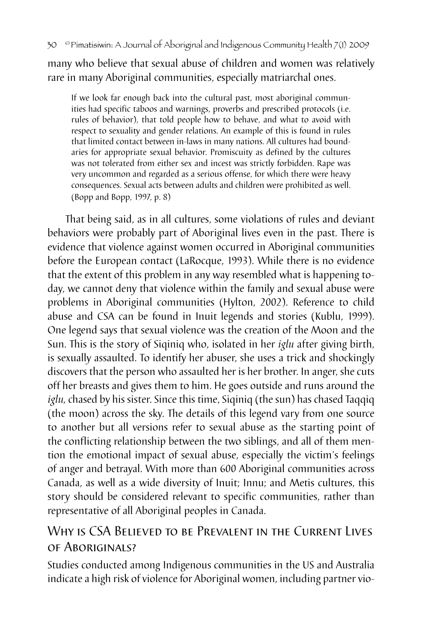many who believe that sexual abuse of children and women was relatively rare in many Aboriginal communities, especially matriarchal ones.

If we look far enough back into the cultural past, most aboriginal communities had specific taboos and warnings, proverbs and prescribed protocols (i.e. rules of behavior), that told people how to behave, and what to avoid with respect to sexuality and gender relations. An example of this is found in rules that limited contact between in-laws in many nations. All cultures had boundaries for appropriate sexual behavior. Promiscuity as defined by the cultures was not tolerated from either sex and incest was strictly forbidden. Rape was very uncommon and regarded as a serious offense, for which there were heavy consequences. Sexual acts between adults and children were prohibited as well. (Bopp and Bopp, 1997, p. 8)

That being said, as in all cultures, some violations of rules and deviant behaviors were probably part of Aboriginal lives even in the past. There is evidence that violence against women occurred in Aboriginal communities before the European contact (LaRocque, 1993). While there is no evidence that the extent of this problem in any way resembled what is happening today, we cannot deny that violence within the family and sexual abuse were problems in Aboriginal communities (Hylton, 2002). Reference to child abuse and CSA can be found in Inuit legends and stories (Kublu, 1999). One legend says that sexual violence was the creation of the Moon and the Sun. This is the story of Siqiniq who, isolated in her *iglu* after giving birth, is sexually assaulted. To identify her abuser, she uses a trick and shockingly discovers that the person who assaulted her is her brother. In anger, she cuts off her breasts and gives them to him. He goes outside and runs around the *iglu,* chased by his sister. Since this time, Siqiniq (the sun) has chased Taqqiq (the moon) across the sky. The details of this legend vary from one source to another but all versions refer to sexual abuse as the starting point of the conflicting relationship between the two siblings, and all of them mention the emotional impact of sexual abuse, especially the victim's feelings of anger and betrayal. With more than 600 Aboriginal communities across Canada, as well as a wide diversity of Inuit; Innu; and Metis cultures, this story should be considered relevant to specific communities, rather than representative of all Aboriginal peoples in Canada.

## Why is CSA Believed to be Prevalent in the Current Lives of Aboriginals?

Studies conducted among Indigenous communities in the US and Australia indicate a high risk of violence for Aboriginal women, including partner vio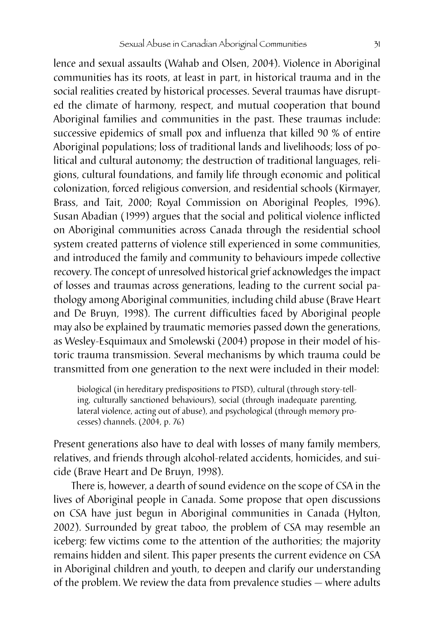lence and sexual assaults (Wahab and Olsen, 2004). Violence in Aboriginal communities has its roots, at least in part, in historical trauma and in the social realities created by historical processes. Several traumas have disrupted the climate of harmony, respect, and mutual cooperation that bound Aboriginal families and communities in the past. These traumas include: successive epidemics of small pox and influenza that killed 90 % of entire Aboriginal populations; loss of traditional lands and livelihoods; loss of political and cultural autonomy; the destruction of traditional languages, religions, cultural foundations, and family life through economic and political colonization, forced religious conversion, and residential schools (Kirmayer, Brass, and Tait, 2000; Royal Commission on Aboriginal Peoples, 1996). Susan Abadian (1999) argues that the social and political violence inflicted on Aboriginal communities across Canada through the residential school system created patterns of violence still experienced in some communities, and introduced the family and community to behaviours impede collective recovery. The concept of unresolved historical grief acknowledges the impact of losses and traumas across generations, leading to the current social pathology among Aboriginal communities, including child abuse (Brave Heart and De Bruyn, 1998). The current difficulties faced by Aboriginal people may also be explained by traumatic memories passed down the generations, as Wesley-Esquimaux and Smolewski (2004) propose in their model of historic trauma transmission. Several mechanisms by which trauma could be transmitted from one generation to the next were included in their model:

biological (in hereditary predispositions to PTSD), cultural (through story-telling, culturally sanctioned behaviours), social (through inadequate parenting, lateral violence, acting out of abuse), and psychological (through memory processes) channels. (2004, p. 76)

Present generations also have to deal with losses of many family members, relatives, and friends through alcohol-related accidents, homicides, and suicide (Brave Heart and De Bruyn, 1998).

There is, however, a dearth of sound evidence on the scope of CSA in the lives of Aboriginal people in Canada. Some propose that open discussions on CSA have just begun in Aboriginal communities in Canada (Hylton, 2002). Surrounded by great taboo, the problem of CSA may resemble an iceberg: few victims come to the attention of the authorities; the majority remains hidden and silent. This paper presents the current evidence on CSA in Aboriginal children and youth, to deepen and clarify our understanding of the problem. We review the data from prevalence studies — where adults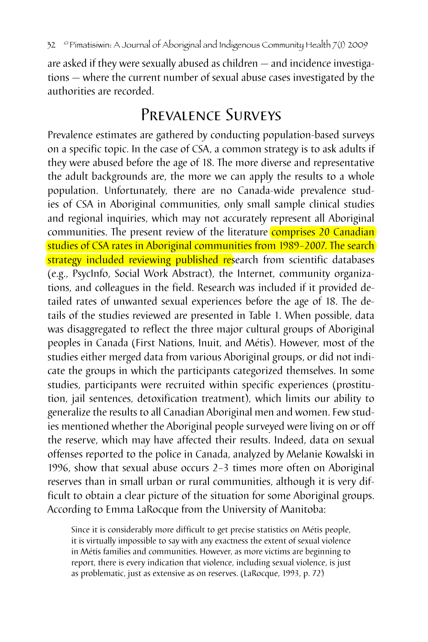are asked if they were sexually abused as children — and incidence investigations — where the current number of sexual abuse cases investigated by the authorities are recorded.

# PREVALENCE SURVEYS

Prevalence estimates are gathered by conducting population-based surveys on a specific topic. In the case of CSA, a common strategy is to ask adults if they were abused before the age of 18. The more diverse and representative the adult backgrounds are, the more we can apply the results to a whole population. Unfortunately, there are no Canada-wide prevalence studies of CSA in Aboriginal communities, only small sample clinical studies and regional inquiries, which may not accurately represent all Aboriginal communities. The present review of the literature **comprises 20 Canadian** studies of CSA rates in Aboriginal communities from 1989–2007. The search strategy included reviewing published research from scientific databases (e.g., PsycInfo, Social Work Abstract), the Internet, community organizations, and colleagues in the field. Research was included if it provided detailed rates of unwanted sexual experiences before the age of 18. The details of the studies reviewed are presented in Table 1. When possible, data was disaggregated to reflect the three major cultural groups of Aboriginal peoples in Canada (First Nations, Inuit, and Métis). However, most of the studies either merged data from various Aboriginal groups, or did not indicate the groups in which the participants categorized themselves. In some studies, participants were recruited within specific experiences (prostitution, jail sentences, detoxification treatment), which limits our ability to generalize the results to all Canadian Aboriginal men and women. Few studies mentioned whether the Aboriginal people surveyed were living on or off the reserve, which may have affected their results. Indeed, data on sexual offenses reported to the police in Canada, analyzed by Melanie Kowalski in 1996, show that sexual abuse occurs 2–3 times more often on Aboriginal reserves than in small urban or rural communities, although it is very difficult to obtain a clear picture of the situation for some Aboriginal groups. According to Emma LaRocque from the University of Manitoba:

Since it is considerably more difficult to get precise statistics on Métis people, it is virtually impossible to say with any exactness the extent of sexual violence in Métis families and communities. However, as more victims are beginning to report, there is every indication that violence, including sexual violence, is just as problematic, just as extensive as on reserves. (LaRocque, 1993, p. 72)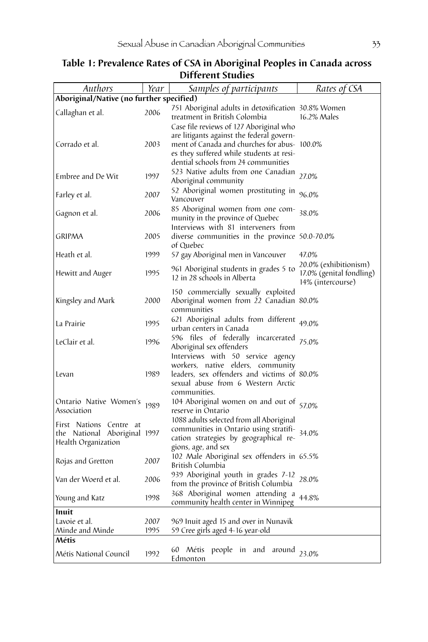| Authors                                                                        | Year         | Samples of participants                                                                                                                                                                                                 | Rates of CSA                                                           |
|--------------------------------------------------------------------------------|--------------|-------------------------------------------------------------------------------------------------------------------------------------------------------------------------------------------------------------------------|------------------------------------------------------------------------|
| Aboriginal/Native (no further specified)                                       |              |                                                                                                                                                                                                                         |                                                                        |
| Callaghan et al.                                                               | 2006         | 751 Aboriginal adults in detoxification 30.8% Women<br>treatment in British Colombia                                                                                                                                    | 16.2% Males                                                            |
| Corrado et al.                                                                 | 2003         | Case file reviews of 127 Aboriginal who<br>are litigants against the federal govern-<br>ment of Canada and churches for abus- 100.0%<br>es they suffered while students at resi-<br>dential schools from 24 communities |                                                                        |
| Embree and De Wit                                                              | 1997         | 523 Native adults from one Canadian<br>Aboriginal community                                                                                                                                                             | 27.0%                                                                  |
| Farley et al.                                                                  | 2007         | 52 Aboriginal women prostituting in<br>Vancouver                                                                                                                                                                        | 96.0%                                                                  |
| Gagnon et al.                                                                  | 2006         | 85 Aboriginal women from one com-<br>munity in the province of Quebec                                                                                                                                                   | 38.0%                                                                  |
| <b>GRIPMA</b>                                                                  | 2005         | Interviews with 81 interveners from<br>diverse communities in the province 50.0-70.0%<br>of Quebec                                                                                                                      |                                                                        |
| Heath et al.                                                                   | 1999         | 57 gay Aboriginal men in Vancouver                                                                                                                                                                                      | 47.0%                                                                  |
| Hewitt and Auger                                                               | 1995         | 961 Aboriginal students in grades 5 to<br>12 in 28 schools in Alberta                                                                                                                                                   | 20.0% (exhibitionism)<br>17.0% (genital fondling)<br>14% (intercourse) |
| Kingsley and Mark                                                              | 2000         | 150 commercially sexually exploited<br>Aboriginal women from 22 Canadian 80.0%<br>communities                                                                                                                           |                                                                        |
| La Prairie                                                                     | 1995         | 621 Aboriginal adults from different <sub>49.0%</sub><br>urban centers in Canada                                                                                                                                        |                                                                        |
| LeClair et al.                                                                 | 1996         | 596 files of federally incarcerated 75.0%<br>Aboriginal sex offenders                                                                                                                                                   |                                                                        |
| Levan                                                                          | 1989         | Interviews with 50 service agency<br>workers, native elders, community<br>leaders, sex offenders and victims of 80.0%<br>sexual abuse from 6 Western Arctic<br>communities.                                             |                                                                        |
| Ontario Native Women's<br>Association                                          | 1989         | 104 Aboriginal women on and out of<br>reserve in Ontario                                                                                                                                                                | 57.0%                                                                  |
| First Nations Centre at<br>the National Aboriginal 1997<br>Health Organization |              | 1088 adults selected from all Aboriginal<br>communities in Ontario using stratifi-<br>cation strategies by geographical re-<br>gions, age, and sex                                                                      | 34.0%                                                                  |
| Rojas and Gretton                                                              | 2007         | 102 Male Aboriginal sex offenders in 65.5%<br>British Columbia                                                                                                                                                          |                                                                        |
| Van der Woerd et al.                                                           | 2006         | 939 Aboriginal youth in grades 7-12<br>from the province of British Columbia                                                                                                                                            | 28.0%                                                                  |
| Young and Katz                                                                 | 1998         | 368 Aboriginal women attending a<br>community health center in Winnipeg                                                                                                                                                 | 44.8%                                                                  |
| Inuit                                                                          |              |                                                                                                                                                                                                                         |                                                                        |
| Lavoie et al.                                                                  | 2007<br>1995 | 969 Inuit aged 15 and over in Nunavik                                                                                                                                                                                   |                                                                        |
| Minde and Minde<br>Métis                                                       |              | 59 Cree girls aged 4-16 year-old                                                                                                                                                                                        |                                                                        |
| Métis National Council                                                         | 1992         | 60 Métis<br>people in and around 23.0%<br>Edmonton                                                                                                                                                                      |                                                                        |

#### **Table 1: Prevalence Rates of CSA in Aboriginal Peoples in Canada across Different Studies**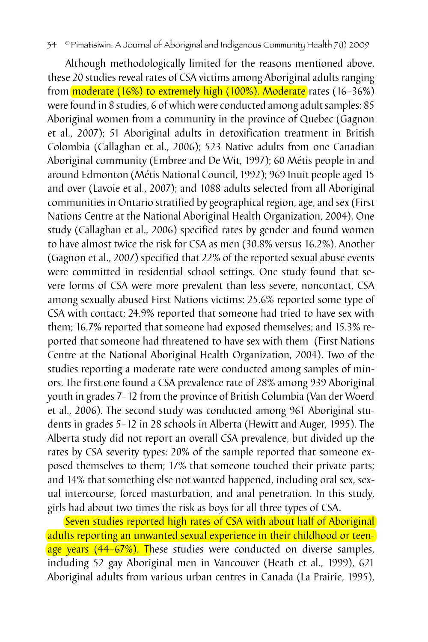Although methodologically limited for the reasons mentioned above, these 20 studies reveal rates of CSA victims among Aboriginal adults ranging from moderate (16%) to extremely high (100%). Moderate rates (16-36%) were found in 8 studies, 6 of which were conducted among adult samples: 85 Aboriginal women from a community in the province of Quebec (Gagnon et al., 2007); 51 Aboriginal adults in detoxification treatment in British Colombia (Callaghan et al., 2006); 523 Native adults from one Canadian Aboriginal community (Embree and De Wit, 1997); 60 Métis people in and around Edmonton (Métis National Council, 1992); 969 Inuit people aged 15 and over (Lavoie et al., 2007); and 1088 adults selected from all Aboriginal communities in Ontario stratified by geographical region, age, and sex (First Nations Centre at the National Aboriginal Health Organization, 2004). One study (Callaghan et al., 2006) specified rates by gender and found women to have almost twice the risk for CSA as men (30.8% versus 16.2%). Another (Gagnon et al., 2007) specified that 22% of the reported sexual abuse events were committed in residential school settings. One study found that severe forms of CSA were more prevalent than less severe, noncontact, CSA among sexually abused First Nations victims: 25.6% reported some type of CSA with contact; 24.9% reported that someone had tried to have sex with them; 16.7% reported that someone had exposed themselves; and 15.3% reported that someone had threatened to have sex with them (First Nations Centre at the National Aboriginal Health Organization, 2004). Two of the studies reporting a moderate rate were conducted among samples of minors. The first one found a CSA prevalence rate of 28% among 939 Aboriginal youth in grades 7–12 from the province of British Columbia (Van der Woerd et al., 2006). The second study was conducted among 961 Aboriginal students in grades 5–12 in 28 schools in Alberta (Hewitt and Auger, 1995). The Alberta study did not report an overall CSA prevalence, but divided up the rates by CSA severity types: 20% of the sample reported that someone exposed themselves to them; 17% that someone touched their private parts; and 14% that something else not wanted happened, including oral sex, sexual intercourse, forced masturbation, and anal penetration. In this study, girls had about two times the risk as boys for all three types of CSA.

Seven studies reported high rates of CSA with about half of Aboriginal adults reporting an unwanted sexual experience in their childhood or teenage years (44-67%). These studies were conducted on diverse samples, including 52 gay Aboriginal men in Vancouver (Heath et al., 1999), 621 Aboriginal adults from various urban centres in Canada (La Prairie, 1995),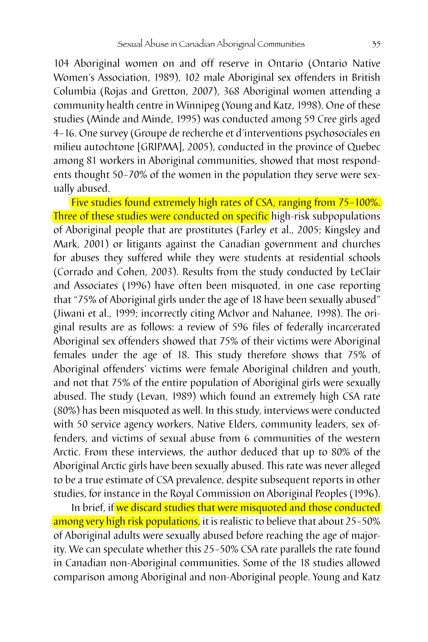104 Aboriginal women on and off reserve in Ontario (Ontario Native Women's Association, 1989), 102 male Aboriginal sex offenders in British Columbia (Rojas and Gretton, 2007), 368 Aboriginal women attending a community health centre in Winnipeg (Young and Katz, 1998). One of these studies (Minde and Minde, 1995) was conducted among 59 Cree girls aged 4–16. One survey (Groupe de recherche et d'interventions psychosociales en milieu autochtone [GRIPMA], 2005), conducted in the province of Quebec among 81 workers in Aboriginal communities, showed that most respondents thought 50–70% of the women in the population they serve were sexually abused.

Five studies found extremely high rates of CSA, ranging from 75–100%. Three of these studies were conducted on specific high-risk subpopulations of Aboriginal people that are prostitutes (Farley et al., 2005; Kingsley and Mark, 2001) or litigants against the Canadian government and churches for abuses they suffered while they were students at residential schools (Corrado and Cohen, 2003). Results from the study conducted by LeClair and Associates (1996) have often been misquoted, in one case reporting that "75% of Aboriginal girls under the age of 18 have been sexually abused" (Jiwani et al., 1999; incorrectly citing McIvor and Nahanee, 1998). The original results are as follows: a review of 596 files of federally incarcerated Aboriginal sex offenders showed that 75% of their victims were Aboriginal females under the age of 18. This study therefore shows that 75% of Aboriginal offenders' victims were female Aboriginal children and youth, and not that 75% of the entire population of Aboriginal girls were sexually abused. The study (Levan, 1989) which found an extremely high CSA rate (80%) has been misquoted as well. In this study, interviews were conducted with 50 service agency workers, Native Elders, community leaders, sex offenders, and victims of sexual abuse from 6 communities of the western Arctic. From these interviews, the author deduced that up to 80% of the Aboriginal Arctic girls have been sexually abused. This rate was never alleged to be a true estimate of CSA prevalence, despite subsequent reports in other studies, for instance in the Royal Commission on Aboriginal Peoples (1996).

In brief, if we discard studies that were misquoted and those conducted among very high risk populations, it is realistic to believe that about 25-50% of Aboriginal adults were sexually abused before reaching the age of majority. We can speculate whether this 25–50% CSA rate parallels the rate found in Canadian non-Aboriginal communities. Some of the 18 studies allowed comparison among Aboriginal and non-Aboriginal people. Young and Katz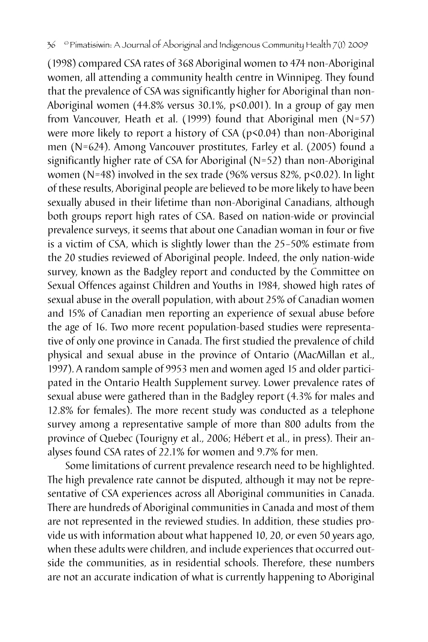(1998) compared CSA rates of 368 Aboriginal women to 474 non-Aboriginal women, all attending a community health centre in Winnipeg. They found that the prevalence of CSA was significantly higher for Aboriginal than non-Aboriginal women (44.8% versus 30.1%, p<0.001). In a group of gay men from Vancouver, Heath et al. (1999) found that Aboriginal men (N=57) were more likely to report a history of CSA (p<0.04) than non-Aboriginal men (N=624). Among Vancouver prostitutes, Farley et al. (2005) found a significantly higher rate of CSA for Aboriginal (N=52) than non-Aboriginal women (N=48) involved in the sex trade (96% versus 82%, p<0.02). In light of these results, Aboriginal people are believed to be more likely to have been sexually abused in their lifetime than non-Aboriginal Canadians, although both groups report high rates of CSA. Based on nation-wide or provincial prevalence surveys, it seems that about one Canadian woman in four or five is a victim of CSA, which is slightly lower than the 25–50% estimate from the 20 studies reviewed of Aboriginal people. Indeed, the only nation-wide survey, known as the Badgley report and conducted by the Committee on Sexual Offences against Children and Youths in 1984, showed high rates of sexual abuse in the overall population, with about 25% of Canadian women and 15% of Canadian men reporting an experience of sexual abuse before the age of 16. Two more recent population-based studies were representative of only one province in Canada. The first studied the prevalence of child physical and sexual abuse in the province of Ontario (MacMillan et al., 1997). A random sample of 9953 men and women aged 15 and older participated in the Ontario Health Supplement survey. Lower prevalence rates of sexual abuse were gathered than in the Badgley report (4.3% for males and 12.8% for females). The more recent study was conducted as a telephone survey among a representative sample of more than 800 adults from the province of Quebec (Tourigny et al., 2006; Hébert et al., in press). Their analyses found CSA rates of 22.1% for women and 9.7% for men.

Some limitations of current prevalence research need to be highlighted. The high prevalence rate cannot be disputed, although it may not be representative of CSA experiences across all Aboriginal communities in Canada. There are hundreds of Aboriginal communities in Canada and most of them are not represented in the reviewed studies. In addition, these studies provide us with information about what happened 10, 20, or even 50 years ago, when these adults were children, and include experiences that occurred outside the communities, as in residential schools. Therefore, these numbers are not an accurate indication of what is currently happening to Aboriginal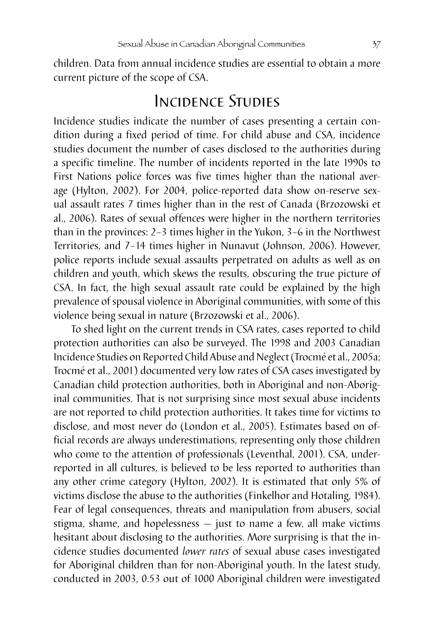children. Data from annual incidence studies are essential to obtain a more current picture of the scope of CSA.

## Incidence Studies

Incidence studies indicate the number of cases presenting a certain condition during a fixed period of time. For child abuse and CSA, incidence studies document the number of cases disclosed to the authorities during a specific timeline. The number of incidents reported in the late 1990s to First Nations police forces was five times higher than the national average (Hylton, 2002). For 2004, police-reported data show on-reserve sexual assault rates 7 times higher than in the rest of Canada (Brzozowski et al., 2006). Rates of sexual offences were higher in the northern territories than in the provinces: 2–3 times higher in the Yukon, 3–6 in the Northwest Territories, and 7–14 times higher in Nunavut (Johnson, 2006). However, police reports include sexual assaults perpetrated on adults as well as on children and youth, which skews the results, obscuring the true picture of CSA. In fact, the high sexual assault rate could be explained by the high prevalence of spousal violence in Aboriginal communities, with some of this violence being sexual in nature (Brzozowski et al., 2006).

To shed light on the current trends in CSA rates, cases reported to child protection authorities can also be surveyed. The 1998 and 2003 Canadian Incidence Studies on Reported Child Abuse and Neglect (Trocmé et al., 2005a; Trocmé et al., 2001) documented very low rates of CSA cases investigated by Canadian child protection authorities, both in Aboriginal and non-Aboriginal communities. That is not surprising since most sexual abuse incidents are not reported to child protection authorities. It takes time for victims to disclose, and most never do (London et al., 2005). Estimates based on official records are always underestimations, representing only those children who come to the attention of professionals (Leventhal, 2001). CSA, underreported in all cultures, is believed to be less reported to authorities than any other crime category (Hylton, 2002). It is estimated that only 5% of victims disclose the abuse to the authorities (Finkelhor and Hotaling, 1984). Fear of legal consequences, threats and manipulation from abusers, social stigma, shame, and hopelessness — just to name a few, all make victims hesitant about disclosing to the authorities. More surprising is that the incidence studies documented *lower rates* of sexual abuse cases investigated for Aboriginal children than for non-Aboriginal youth. In the latest study, conducted in 2003, 0.53 out of 1000 Aboriginal children were investigated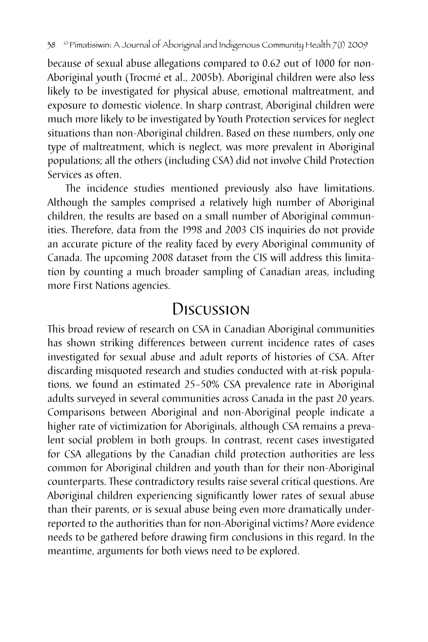because of sexual abuse allegations compared to 0.62 out of 1000 for non-Aboriginal youth (Trocmé et al., 2005b). Aboriginal children were also less likely to be investigated for physical abuse, emotional maltreatment, and exposure to domestic violence. In sharp contrast, Aboriginal children were much more likely to be investigated by Youth Protection services for neglect situations than non-Aboriginal children. Based on these numbers, only one type of maltreatment, which is neglect, was more prevalent in Aboriginal populations; all the others (including CSA) did not involve Child Protection Services as often.

The incidence studies mentioned previously also have limitations. Although the samples comprised a relatively high number of Aboriginal children, the results are based on a small number of Aboriginal communities. Therefore, data from the 1998 and 2003 CIS inquiries do not provide an accurate picture of the reality faced by every Aboriginal community of Canada. The upcoming 2008 dataset from the CIS will address this limitation by counting a much broader sampling of Canadian areas, including more First Nations agencies.

## Discussion

This broad review of research on CSA in Canadian Aboriginal communities has shown striking differences between current incidence rates of cases investigated for sexual abuse and adult reports of histories of CSA. After discarding misquoted research and studies conducted with at-risk populations, we found an estimated 25–50% CSA prevalence rate in Aboriginal adults surveyed in several communities across Canada in the past 20 years. Comparisons between Aboriginal and non-Aboriginal people indicate a higher rate of victimization for Aboriginals, although CSA remains a prevalent social problem in both groups. In contrast, recent cases investigated for CSA allegations by the Canadian child protection authorities are less common for Aboriginal children and youth than for their non-Aboriginal counterparts. These contradictory results raise several critical questions. Are Aboriginal children experiencing significantly lower rates of sexual abuse than their parents, or is sexual abuse being even more dramatically underreported to the authorities than for non-Aboriginal victims? More evidence needs to be gathered before drawing firm conclusions in this regard. In the meantime, arguments for both views need to be explored.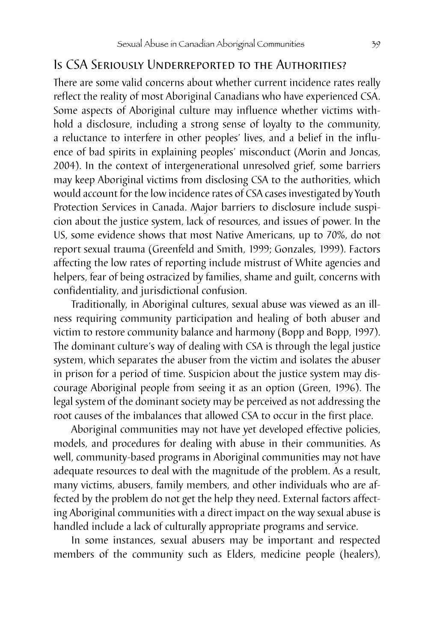### Is CSA Seriously Underreported to the Authorities?

There are some valid concerns about whether current incidence rates really reflect the reality of most Aboriginal Canadians who have experienced CSA. Some aspects of Aboriginal culture may influence whether victims withhold a disclosure, including a strong sense of loyalty to the community, a reluctance to interfere in other peoples' lives, and a belief in the influence of bad spirits in explaining peoples' misconduct (Morin and Joncas, 2004). In the context of intergenerational unresolved grief, some barriers may keep Aboriginal victims from disclosing CSA to the authorities, which would account for the low incidence rates of CSA cases investigated by Youth Protection Services in Canada. Major barriers to disclosure include suspicion about the justice system, lack of resources, and issues of power. In the US, some evidence shows that most Native Americans, up to 70%, do not report sexual trauma (Greenfeld and Smith, 1999; Gonzales, 1999). Factors affecting the low rates of reporting include mistrust of White agencies and helpers, fear of being ostracized by families, shame and guilt, concerns with confidentiality, and jurisdictional confusion.

Traditionally, in Aboriginal cultures, sexual abuse was viewed as an illness requiring community participation and healing of both abuser and victim to restore community balance and harmony (Bopp and Bopp, 1997). The dominant culture's way of dealing with CSA is through the legal justice system, which separates the abuser from the victim and isolates the abuser in prison for a period of time. Suspicion about the justice system may discourage Aboriginal people from seeing it as an option (Green, 1996). The legal system of the dominant society may be perceived as not addressing the root causes of the imbalances that allowed CSA to occur in the first place.

Aboriginal communities may not have yet developed effective policies, models, and procedures for dealing with abuse in their communities. As well, community-based programs in Aboriginal communities may not have adequate resources to deal with the magnitude of the problem. As a result, many victims, abusers, family members, and other individuals who are affected by the problem do not get the help they need. External factors affecting Aboriginal communities with a direct impact on the way sexual abuse is handled include a lack of culturally appropriate programs and service.

In some instances, sexual abusers may be important and respected members of the community such as Elders, medicine people (healers),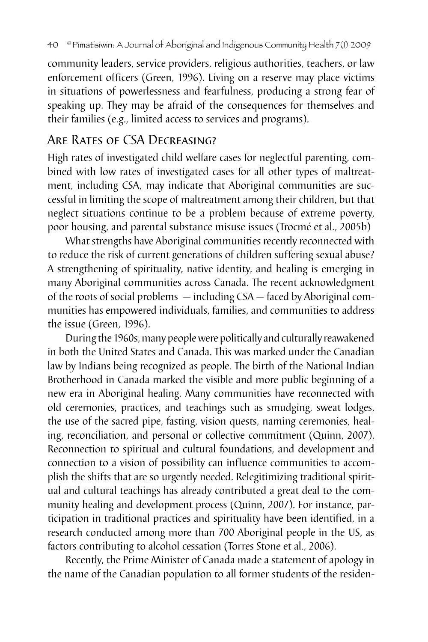community leaders, service providers, religious authorities, teachers, or law enforcement officers (Green, 1996). Living on a reserve may place victims in situations of powerlessness and fearfulness, producing a strong fear of speaking up. They may be afraid of the consequences for themselves and their families (e.g., limited access to services and programs).

## Are Rates of CSA Decreasing?

High rates of investigated child welfare cases for neglectful parenting, combined with low rates of investigated cases for all other types of maltreatment, including CSA, may indicate that Aboriginal communities are successful in limiting the scope of maltreatment among their children, but that neglect situations continue to be a problem because of extreme poverty, poor housing, and parental substance misuse issues (Trocmé et al., 2005b)

What strengths have Aboriginal communities recently reconnected with to reduce the risk of current generations of children suffering sexual abuse? A strengthening of spirituality, native identity, and healing is emerging in many Aboriginal communities across Canada. The recent acknowledgment of the roots of social problems — including CSA — faced by Aboriginal communities has empowered individuals, families, and communities to address the issue (Green, 1996).

During the 1960s, many people were politically and culturally reawakened in both the United States and Canada. This was marked under the Canadian law by Indians being recognized as people. The birth of the National Indian Brotherhood in Canada marked the visible and more public beginning of a new era in Aboriginal healing. Many communities have reconnected with old ceremonies, practices, and teachings such as smudging, sweat lodges, the use of the sacred pipe, fasting, vision quests, naming ceremonies, healing, reconciliation, and personal or collective commitment (Quinn, 2007). Reconnection to spiritual and cultural foundations, and development and connection to a vision of possibility can influence communities to accomplish the shifts that are so urgently needed. Relegitimizing traditional spiritual and cultural teachings has already contributed a great deal to the community healing and development process (Quinn, 2007). For instance, participation in traditional practices and spirituality have been identified, in a research conducted among more than 700 Aboriginal people in the US, as factors contributing to alcohol cessation (Torres Stone et al., 2006).

Recently, the Prime Minister of Canada made a statement of apology in the name of the Canadian population to all former students of the residen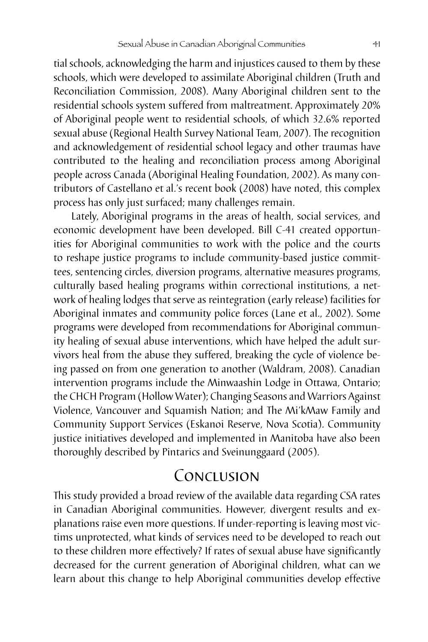tial schools, acknowledging the harm and injustices caused to them by these schools, which were developed to assimilate Aboriginal children (Truth and Reconciliation Commission, 2008). Many Aboriginal children sent to the residential schools system suffered from maltreatment. Approximately 20% of Aboriginal people went to residential schools, of which 32.6% reported sexual abuse (Regional Health Survey National Team, 2007). The recognition and acknowledgement of *r*esidential school legacy and other traumas have contributed to the healing and reconciliation process among Aboriginal people across Canada (Aboriginal Healing Foundation, 2002). As many contributors of Castellano et al.'s recent book (2008) have noted, this complex process has only just surfaced; many challenges remain.

Lately, Aboriginal programs in the areas of health, social services, and economic development have been developed. Bill C-41 created opportunities for Aboriginal communities to work with the police and the courts to reshape justice programs to include community-based justice committees, sentencing circles, diversion programs, alternative measures programs, culturally based healing programs within correctional institutions, a network of healing lodges that serve as reintegration (early release) facilities for Aboriginal inmates and community police forces (Lane et al., 2002). Some programs were developed from recommendations for Aboriginal community healing of sexual abuse interventions, which have helped the adult survivors heal from the abuse they suffered, breaking the cycle of violence being passed on from one generation to another (Waldram, 2008). Canadian intervention programs include the Minwaashin Lodge in Ottawa, Ontario; the CHCH Program (Hollow Water); Changing Seasons and Warriors Against Violence, Vancouver and Squamish Nation; and The Mi'kMaw Family and Community Support Services (Eskanoi Reserve, Nova Scotia). Community justice initiatives developed and implemented in Manitoba have also been thoroughly described by Pintarics and Sveinunggaard (2005).

# Conclusion

This study provided a broad review of the available data regarding CSA rates in Canadian Aboriginal communities. However, divergent results and explanations raise even more questions. If under-reporting is leaving most victims unprotected, what kinds of services need to be developed to reach out to these children more effectively? If rates of sexual abuse have significantly decreased for the current generation of Aboriginal children, what can we learn about this change to help Aboriginal communities develop effective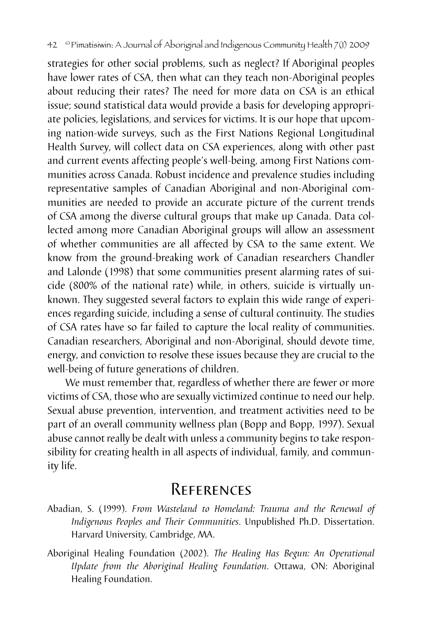strategies for other social problems, such as neglect? If Aboriginal peoples have lower rates of CSA, then what can they teach non-Aboriginal peoples about reducing their rates? The need for more data on CSA is an ethical issue; sound statistical data would provide a basis for developing appropriate policies, legislations, and services for victims. It is our hope that upcoming nation-wide surveys, such as the First Nations Regional Longitudinal Health Survey, will collect data on CSA experiences, along with other past and current events affecting people's well-being, among First Nations communities across Canada. Robust incidence and prevalence studies including representative samples of Canadian Aboriginal and non-Aboriginal communities are needed to provide an accurate picture of the current trends of CSA among the diverse cultural groups that make up Canada. Data collected among more Canadian Aboriginal groups will allow an assessment of whether communities are all affected by CSA to the same extent. We know from the ground-breaking work of Canadian researchers Chandler and Lalonde (1998) that some communities present alarming rates of suicide (800% of the national rate) while, in others, suicide is virtually unknown. They suggested several factors to explain this wide range of experiences regarding suicide, including a sense of cultural continuity. The studies of CSA rates have so far failed to capture the local reality of communities. Canadian researchers, Aboriginal and non-Aboriginal, should devote time, energy, and conviction to resolve these issues because they are crucial to the well-being of future generations of children.

We must remember that, regardless of whether there are fewer or more victims of CSA, those who are sexually victimized continue to need our help. Sexual abuse prevention, intervention, and treatment activities need to be part of an overall community wellness plan (Bopp and Bopp, 1997). Sexual abuse cannot really be dealt with unless a community begins to take responsibility for creating health in all aspects of individual, family, and community life.

# References

- Abadian, S. (1999). *From Wasteland to Homeland: Trauma and the Renewal of Indigenous Peoples and Their Communities*. Unpublished Ph.D. Dissertation. Harvard University, Cambridge, MA.
- Aboriginal Healing Foundation (2002). *The Healing Has Begun: An Operational Update from the Aboriginal Healing Foundation*. Ottawa, ON: Aboriginal Healing Foundation.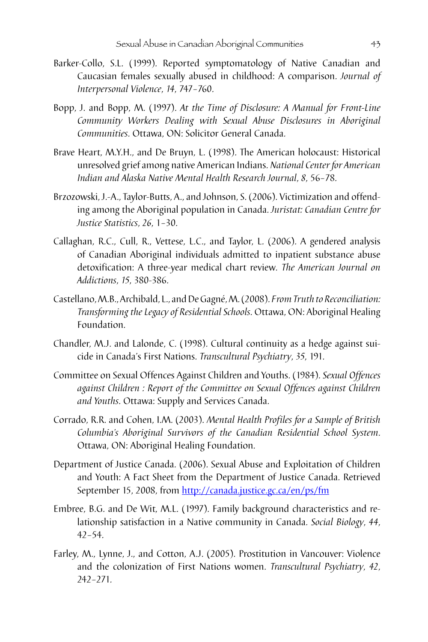- Barker-Collo, S.L. (1999). Reported symptomatology of Native Canadian and Caucasian females sexually abused in childhood: A comparison. *Journal of Interpersonal Violence*, *14*, 747–760.
- Bopp, J. and Bopp, M. (1997). *At the Time of Disclosure: A Manual for Front-Line Community Workers Dealing with Sexual Abuse Disclosures in Aboriginal Communities*. Ottawa, ON: Solicitor General Canada.
- Brave Heart, M.Y.H., and De Bruyn, L. (1998). The American holocaust: Historical unresolved grief among native American Indians. *National Center for American Indian and Alaska Native Mental Health Research Journal*, *8*, 56–78.
- Brzozowski, J.-A., Taylor-Butts, A., and Johnson, S. (2006). Victimization and offending among the Aboriginal population in Canada. *Juristat: Canadian Centre for Justice Statistics*, *26*, 1–30.
- Callaghan, R.C., Cull, R., Vettese, L.C., and Taylor, L. (2006). A gendered analysis of Canadian Aboriginal individuals admitted to inpatient substance abuse detoxification: A three-year medical chart review. *The American Journal on Addictions*, *15*, 380-386.
- Castellano, M.B., Archibald, L., and De Gagné, M. (2008). *From Truth to Reconciliation: Transforming the Legacy of Residential Schools*. Ottawa, ON: Aboriginal Healing Foundation.
- Chandler, M.J. and Lalonde, C. (1998). Cultural continuity as a hedge against suicide in Canada's First Nations. *Transcultural Psychiatry*, *35*, 191.
- Committee on Sexual Offences Against Children and Youths. (1984). *Sexual Offences against Children : Report of the Committee on Sexual Offences against Children and Youths*. Ottawa: Supply and Services Canada.
- Corrado, R.R. and Cohen, I.M. (2003). *Mental Health Profiles for a Sample of British Columbia's Aboriginal Survivors of the Canadian Residential School System*. Ottawa, ON: Aboriginal Healing Foundation.
- Department of Justice Canada. (2006). Sexual Abuse and Exploitation of Children and Youth: A Fact Sheet from the Department of Justice Canada. Retrieved September 15, 2008, from http://canada.justice.gc.ca/en/ps/fm
- Embree, B.G. and De Wit, M.L. (1997). Family background characteristics and relationship satisfaction in a Native community in Canada. *Social Biology*, *44*, 42–54.
- Farley, M., Lynne, J., and Cotton, A.J. (2005). Prostitution in Vancouver: Violence and the colonization of First Nations women. *Transcultural Psychiatry*, *42*, 242–271.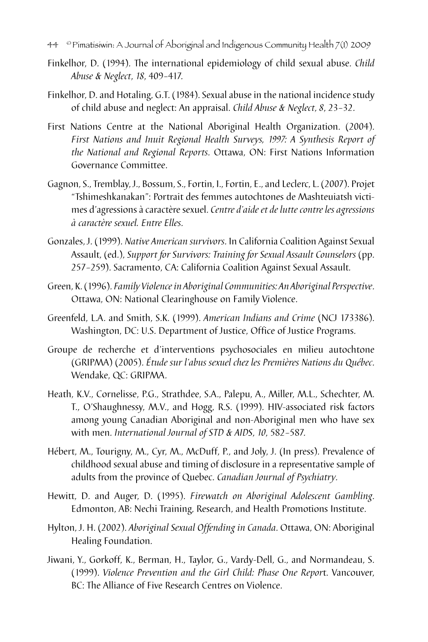- 44 © Pimatisiwin: A Journal of Aboriginal and Indigenous Community Health 7(1) 2009
- Finkelhor, D. (1994). The international epidemiology of child sexual abuse. *Child Abuse & Neglect*, *18*, 409–417.
- Finkelhor, D. and Hotaling, G.T. (1984). Sexual abuse in the national incidence study of child abuse and neglect: An appraisal. *Child Abuse & Neglect*, *8*, 23–32.
- First Nations Centre at the National Aboriginal Health Organization. (2004). *First Nations and Inuit Regional Health Surveys, 1997: A Synthesis Report of the National and Regional Reports*. Ottawa, ON: First Nations Information Governance Committee.
- Gagnon, S., Tremblay, J., Bossum, S., Fortin, I., Fortin, E., and Leclerc, L. (2007). Projet "Tshimeshkanakan": Portrait des femmes autochtones de Mashteuiatsh victimes d'agressions à caractère sexuel. *Centre d'aide et de lutte contre les agressions à caractère sexuel. Entre Elles*.
- Gonzales, J. (1999). *Native American survivors*. In California Coalition Against Sexual Assault, (ed.), *Support for Survivors: Training for Sexual Assault Counselors* (pp. 257–259). Sacramento, CA: California Coalition Against Sexual Assault.
- Green, K. (1996). *Family Violence in Aboriginal Communities: An Aboriginal Perspective*. Ottawa, ON: National Clearinghouse on Family Violence.
- Greenfeld, L.A. and Smith, S.K. (1999). *American Indians and Crime* (NCJ 173386). Washington, DC: U.S. Department of Justice, Office of Justice Programs.
- Groupe de recherche et d'interventions psychosociales en milieu autochtone (GRIPMA) (2005). *Étude sur l'abus sexuel chez les Premières Nations du Québec*. Wendake, QC: GRIPMA.
- Heath, K.V., Cornelisse, P.G., Strathdee, S.A., Palepu, A., Miller, M.L., Schechter, M. T., O'Shaughnessy, M.V., and Hogg, R.S. (1999). HIV-associated risk factors among young Canadian Aboriginal and non-Aboriginal men who have sex with men. *International Journal of STD & AIDS*, *10*, 582–587.
- Hébert, M., Tourigny, M., Cyr, M., McDuff, P., and Joly, J. (In press). Prevalence of childhood sexual abuse and timing of disclosure in a representative sample of adults from the province of Quebec. *Canadian Journal of Psychiatry*.
- Hewitt, D. and Auger, D. (1995). *Firewatch on Aboriginal Adolescent Gambling*. Edmonton, AB: Nechi Training, Research, and Health Promotions Institute.
- Hylton, J. H. (2002). *Aboriginal Sexual Offending in Canada*. Ottawa, ON: Aboriginal Healing Foundation.
- Jiwani, Y., Gorkoff, K., Berman, H., Taylor, G., Vardy-Dell, G., and Normandeau, S. (1999). *Violence Prevention and the Girl Child: Phase One Repor*t. Vancouver, BC: The Alliance of Five Research Centres on Violence.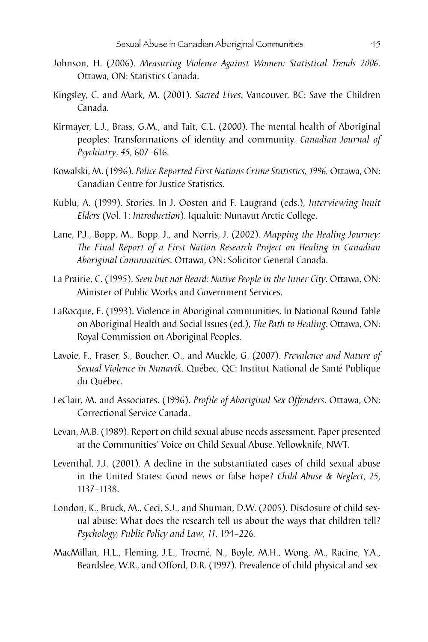- Johnson, H. (2006). *Measuring Violence Against Women: Statistical Trends 2006*. Ottawa, ON: Statistics Canada.
- Kingsley, C. and Mark, M. (2001). *Sacred Lives*. Vancouver. BC: Save the Children Canada.
- Kirmayer, L.J., Brass, G.M., and Tait, C.L. (2000). The mental health of Aboriginal peoples: Transformations of identity and community. *Canadian Journal of Psychiatry*, *45*, 607–616.
- Kowalski, M. (1996). *Police Reported First Nations Crime Statistics, 1996.* Ottawa, ON: Canadian Centre for Justice Statistics.
- Kublu, A. (1999). Stories. In J. Oosten and F. Laugrand (eds.), *Interviewing Inuit Elders* (Vol. 1: *Introduction*). Iqualuit: Nunavut Arctic College.
- Lane, P.J., Bopp, M., Bopp, J., and Norris, J. (2002). *Mapping the Healing Journey: The Final Report of a First Nation Research Project on Healing in Canadian Aboriginal Communities*. Ottawa, ON: Solicitor General Canada.
- La Prairie, C. (1995). *Seen but not Heard: Native People in the Inner City*. Ottawa, ON: Minister of Public Works and Government Services.
- LaRocque, E. (1993). Violence in Aboriginal communities. In National Round Table on Aboriginal Health and Social Issues (ed.), *The Path to Healing*. Ottawa, ON: Royal Commission on Aboriginal Peoples.
- Lavoie, F., Fraser, S., Boucher, O., and Muckle, G. (2007). *Prevalence and Nature of Sexual Violence in Nunavik*. Québec, QC: Institut National de Santé Publique du Québec.
- LeClair, M. and Associates. (1996). *Profile of Aboriginal Sex Offenders*. Ottawa, ON: Correctional Service Canada.
- Levan, M.B. (1989). Report on child sexual abuse needs assessment. Paper presented at the Communities' Voice on Child Sexual Abuse. Yellowknife, NWT.
- Leventhal, J.J. (2001). A decline in the substantiated cases of child sexual abuse in the United States: Good news or false hope? *Child Abuse & Neglect*, *25*, 1137–1138.
- London, K., Bruck, M., Ceci, S.J., and Shuman, D.W. (2005). Disclosure of child sexual abuse: What does the research tell us about the ways that children tell? *Psychology, Public Policy and Law*, *11*, 194–226.
- MacMillan, H.L., Fleming, J.E., Trocmé, N., Boyle, M.H., Wong, M., Racine, Y.A., Beardslee, W.R., and Offord, D.R. (1997). Prevalence of child physical and sex-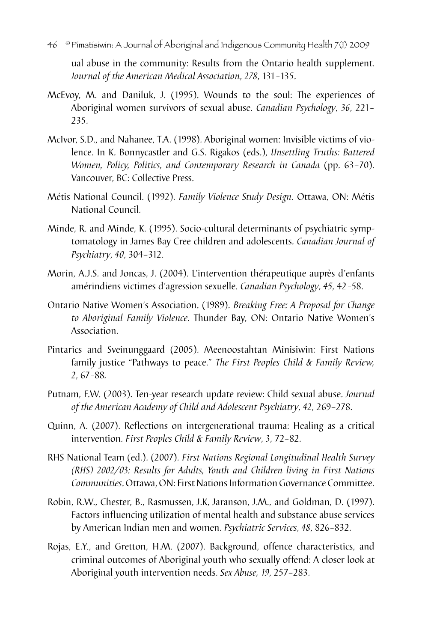46 © Pimatisiwin: A Journal of Aboriginal and Indigenous Community Health 7(1) 2009

ual abuse in the community: Results from the Ontario health supplement. *Journal of the American Medical Association*, *278*, 131–135.

- McEvoy, M. and Daniluk, J. (1995). Wounds to the soul: The experiences of Aboriginal women survivors of sexual abuse. *Canadian Psychology*, *36*, 221– 235.
- McIvor, S.D., and Nahanee, T.A. (1998). Aboriginal women: Invisible victims of violence. In K. Bonnycastler and G.S. Rigakos (eds.), *Unsettling Truths: Battered Women, Policy, Politics, and Contemporary Research in Canada* (pp. 63–70). Vancouver, BC: Collective Press.
- Métis National Council. (1992). *Family Violence Study Design*. Ottawa, ON: Métis National Council.
- Minde, R. and Minde, K. (1995). Socio-cultural determinants of psychiatric symptomatology in James Bay Cree children and adolescents. *Canadian Journal of Psychiatry*, *40*, 304–312.
- Morin, A.J.S. and Joncas, J. (2004). L'intervention thérapeutique auprès d'enfants amérindiens victimes d'agression sexuelle. *Canadian Psychology*, *45*, 42–58.
- Ontario Native Women's Association. (1989). *Breaking Free: A Proposal for Change to Aboriginal Family Violence*. Thunder Bay, ON: Ontario Native Women's Association.
- Pintarics and Sveinunggaard (2005). Meenoostahtan Minisiwin: First Nations family justice "Pathways to peace." *The First Peoples Child & Family Review, 2*, 67–88*.*
- Putnam, F.W. (2003). Ten-year research update review: Child sexual abuse. *Journal of the American Academy of Child and Adolescent Psychiatry*, *42*, 269–278.
- Quinn, A. (2007). Reflections on intergenerational trauma: Healing as a critical intervention. *First Peoples Child & Family Review*, *3*, 72–82.
- RHS National Team (ed.). (2007). *First Nations Regional Longitudinal Health Survey (RHS) 2002/03: Results for Adults, Youth and Children living in First Nations Communities*. Ottawa, ON: First Nations Information Governance Committee.
- Robin, R.W., Chester, B., Rasmussen, J.K, Jaranson, J.M., and Goldman, D. (1997). Factors influencing utilization of mental health and substance abuse services by American Indian men and women. *Psychiatric Services*, *48*, 826–832.
- Rojas, E.Y., and Gretton, H.M. (2007). Background, offence characteristics, and criminal outcomes of Aboriginal youth who sexually offend: A closer look at Aboriginal youth intervention needs. *Sex Abuse, 19*, 257–283.